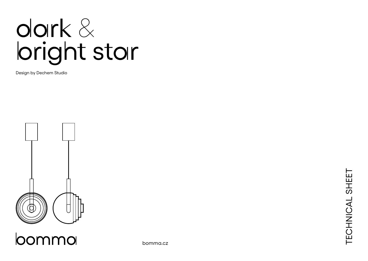# dark & bright star

Design by Dechem Studio



loommo

bomma.cz